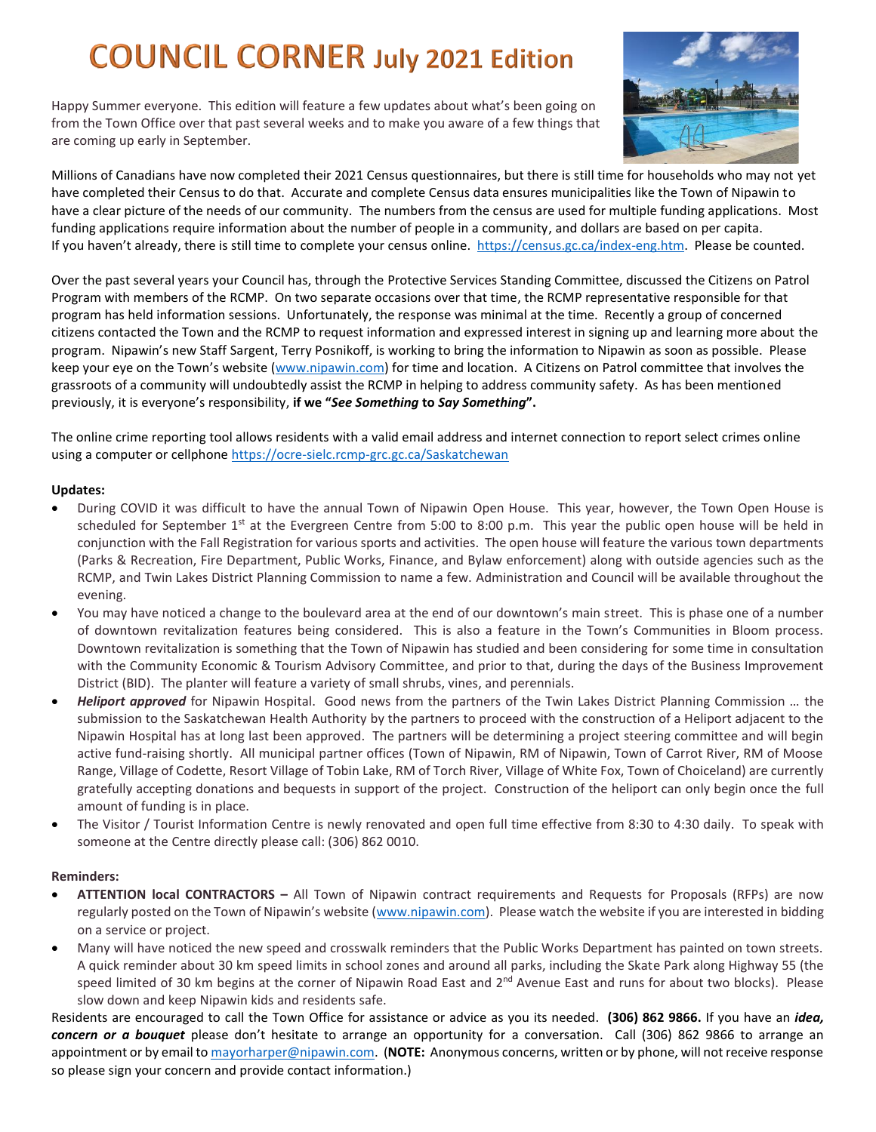## **COUNCIL CORNER July 2021 Edition**

Happy Summer everyone. This edition will feature a few updates about what's been going on from the Town Office over that past several weeks and to make you aware of a few things that are coming up early in September.



Millions of Canadians have now completed their 2021 Census questionnaires, but there is still time for households who may not yet have completed their Census to do that. Accurate and complete Census data ensures municipalities like the Town of Nipawin to have a clear picture of the needs of our community. The numbers from the census are used for multiple funding applications. Most funding applications require information about the number of people in a community, and dollars are based on per capita. If you haven't already, there is still time to complete your census online. [https://census.gc.ca/index-eng.htm.](https://census.gc.ca/index-eng.htm) Please be counted.

Over the past several years your Council has, through the Protective Services Standing Committee, discussed the Citizens on Patrol Program with members of the RCMP. On two separate occasions over that time, the RCMP representative responsible for that program has held information sessions. Unfortunately, the response was minimal at the time. Recently a group of concerned citizens contacted the Town and the RCMP to request information and expressed interest in signing up and learning more about the program. Nipawin's new Staff Sargent, Terry Posnikoff, is working to bring the information to Nipawin as soon as possible. Please keep your eye on the Town's website [\(www.nipawin.com\)](http://www.nipawin.com/) for time and location. A Citizens on Patrol committee that involves the grassroots of a community will undoubtedly assist the RCMP in helping to address community safety. As has been mentioned previously, it is everyone's responsibility, **if we "***See Something* **to** *Say Something***".** 

The online crime reporting tool allows residents with a valid email address and internet connection to report select crimes online using a computer or cellphone<https://ocre-sielc.rcmp-grc.gc.ca/Saskatchewan>

#### **Updates:**

- During COVID it was difficult to have the annual Town of Nipawin Open House. This year, however, the Town Open House is scheduled for September  $1<sup>st</sup>$  at the Evergreen Centre from 5:00 to 8:00 p.m. This year the public open house will be held in conjunction with the Fall Registration for various sports and activities. The open house will feature the various town departments (Parks & Recreation, Fire Department, Public Works, Finance, and Bylaw enforcement) along with outside agencies such as the RCMP, and Twin Lakes District Planning Commission to name a few. Administration and Council will be available throughout the evening.
- You may have noticed a change to the boulevard area at the end of our downtown's main street. This is phase one of a number of downtown revitalization features being considered. This is also a feature in the Town's Communities in Bloom process. Downtown revitalization is something that the Town of Nipawin has studied and been considering for some time in consultation with the Community Economic & Tourism Advisory Committee, and prior to that, during the days of the Business Improvement District (BID). The planter will feature a variety of small shrubs, vines, and perennials.
- *Heliport approved* for Nipawin Hospital. Good news from the partners of the Twin Lakes District Planning Commission … the submission to the Saskatchewan Health Authority by the partners to proceed with the construction of a Heliport adjacent to the Nipawin Hospital has at long last been approved. The partners will be determining a project steering committee and will begin active fund-raising shortly. All municipal partner offices (Town of Nipawin, RM of Nipawin, Town of Carrot River, RM of Moose Range, Village of Codette, Resort Village of Tobin Lake, RM of Torch River, Village of White Fox, Town of Choiceland) are currently gratefully accepting donations and bequests in support of the project. Construction of the heliport can only begin once the full amount of funding is in place.
- The Visitor / Tourist Information Centre is newly renovated and open full time effective from 8:30 to 4:30 daily. To speak with someone at the Centre directly please call: (306) 862 0010.

#### **Reminders:**

- **ATTENTION local CONTRACTORS –** All Town of Nipawin contract requirements and Requests for Proposals (RFPs) are now regularly posted on the Town of Nipawin's website ([www.nipawin.com\)](http://www.nipawin.com/). Please watch the website if you are interested in bidding on a service or project.
- Many will have noticed the new speed and crosswalk reminders that the Public Works Department has painted on town streets. A quick reminder about 30 km speed limits in school zones and around all parks, including the Skate Park along Highway 55 (the speed limited of 30 km begins at the corner of Nipawin Road East and 2<sup>nd</sup> Avenue East and runs for about two blocks). Please slow down and keep Nipawin kids and residents safe.

Residents are encouraged to call the Town Office for assistance or advice as you its needed. **(306) 862 9866.** If you have an *idea, concern or a bouquet* please don't hesitate to arrange an opportunity for a conversation. Call (306) 862 9866 to arrange an appointment or by email t[o mayorharper@nipawin.com.](mailto:mayorharper@nipawin.com) (**NOTE:** Anonymous concerns, written or by phone, will not receive response so please sign your concern and provide contact information.)